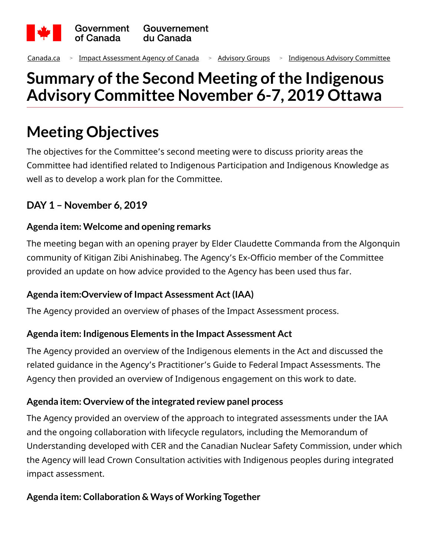

[Canada.ca](https://www.canada.ca/en.html) <sup>&</sup>gt; [Impact Assessment Agency of Canada](https://www.canada.ca/en/impact-assessment-agency.html) <sup>&</sup>gt; [Advisory Groups](https://www.canada.ca/en/impact-assessment-agency/advisory/advisory-groups.html) <sup>&</sup>gt; [Indigenous Advisory Committee](https://www.canada.ca/en/impact-assessment-agency/advisory/advisory-groups/indigenous-advisory-committee.html)

# **Summary of the Second Meeting ofthe Indigenous Advisory Committee November 6-7, 2019 Ottawa**

# **Meeting Objectives**

The objectives for the Committee's second meeting were to discuss priority areas the Committee had identified related to Indigenous Participation and Indigenous Knowledge as well as to develop a work plan for the Committee.

# **DAY 1 – November 6, 2019**

### **Agenda item: Welcome and opening remarks**

The meeting began with an opening prayer by Elder Claudette Commanda from the Algonquin community of Kitigan Zibi Anishinabeg. The Agency's Ex-Officio member of the Committee provided an update on how advice provided to the Agency has been used thus far.

#### **Agenda item:Overview of Impact Assessment Act(IAA)**

The Agency provided an overview of phases of the Impact Assessment process.

#### **Agenda item: Indigenous Elements in the Impact Assessment Act**

The Agency provided an overview of the Indigenous elements in the Act and discussed the related guidance in the Agency's Practitioner's Guide to Federal Impact Assessments. The Agency then provided an overview of Indigenous engagement on this work to date.

#### **Agenda item: Overview of the integrated review panel process**

The Agency provided an overview of the approach to integrated assessments under the IAA and the ongoing collaboration with lifecycle regulators, including the Memorandum of Understanding developed with CER and the Canadian Nuclear Safety Commission, under which the Agency will lead Crown Consultation activities with Indigenous peoples during integrated impact assessment.

#### **Agenda item: Collaboration & Ways of Working Together**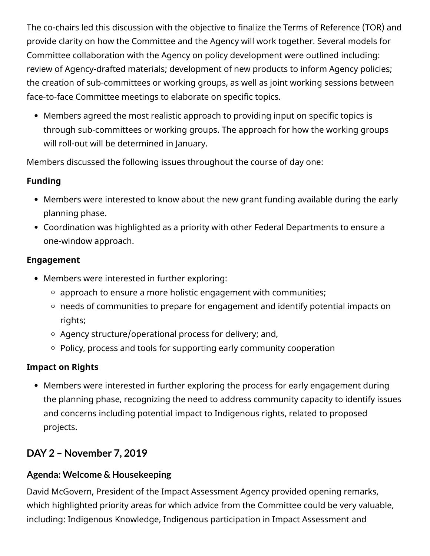The co-chairs led this discussion with the objective to finalize the Terms of Reference (TOR) and provide clarity on how the Committee and the Agency will work together. Several models for Committee collaboration with the Agency on policy development were outlined including: review of Agency-drafted materials; development of new products to inform Agency policies; the creation of sub-committees or working groups, as well as joint working sessions between face-to-face Committee meetings to elaborate on specific topics.

Members agreed the most realistic approach to providing input on specific topics is through sub-committees or working groups. The approach for how the working groups will roll-out will be determined in January.

Members discussed the following issues throughout the course of day one:

#### **Funding**

- Members were interested to know about the new grant funding available during the early planning phase.
- Coordination was highlighted as a priority with other Federal Departments to ensure a one-window approach.

#### **Engagement**

- Members were interested in further exploring:
	- $\circ$  approach to ensure a more holistic engagement with communities;
	- needs of communities to prepare for engagement and identify potential impacts on rights;
	- $\circ$  Agency structure/operational process for delivery; and,
	- $\circ$  Policy, process and tools for supporting early community cooperation

# **Impact on Rights**

Members were interested in further exploring the process for early engagement during the planning phase, recognizing the need to address community capacity to identify issues and concerns including potential impact to Indigenous rights, related to proposed projects.

# **DAY 2 – November 7, 2019**

# **Agenda: Welcome & Housekeeping**

David McGovern, President of the Impact Assessment Agency provided opening remarks, which highlighted priority areas for which advice from the Committee could be very valuable, including: Indigenous Knowledge, Indigenous participation in Impact Assessment and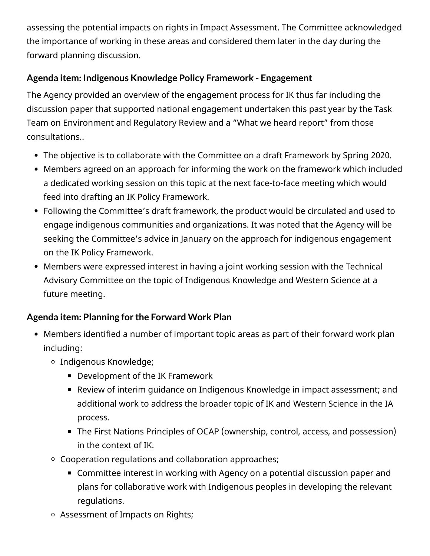assessing the potential impacts on rights in Impact Assessment. The Committee acknowledged the importance of working in these areas and considered them later in the day during the forward planning discussion.

### **Agenda item: Indigenous Knowledge Policy Framework - Engagement**

The Agency provided an overview of the engagement process for IK thus far including the discussion paper that supported national engagement undertaken this past year by the Task Team on Environment and Regulatory Review and a "What we heard report" from those consultations..

- The objective is to collaborate with the Committee on a draft Framework by Spring 2020.
- Members agreed on an approach for informing the work on the framework which included a dedicated working session on this topic at the next face-to-face meeting which would feed into drafting an IK Policy Framework.
- Following the Committee's draft framework, the product would be circulated and used to engage indigenous communities and organizations. It was noted that the Agency will be seeking the Committee's advice in January on the approach for indigenous engagement on the IK Policy Framework.
- Members were expressed interest in having a joint working session with the Technical Advisory Committee on the topic of Indigenous Knowledge and Western Science at a future meeting.

#### **Agenda item: Planning for the Forward Work Plan**

- Members identified a number of important topic areas as part of their forward work plan including:
	- Indigenous Knowledge;
		- Development of the IK Framework
		- Review of interim guidance on Indigenous Knowledge in impact assessment; and additional work to address the broader topic of IK and Western Science in the IA process.
		- The First Nations Principles of OCAP (ownership, control, access, and possession) in the context of IK.
	- Cooperation regulations and collaboration approaches;
		- Committee interest in working with Agency on a potential discussion paper and plans for collaborative work with Indigenous peoples in developing the relevant regulations.
	- Assessment of Impacts on Rights;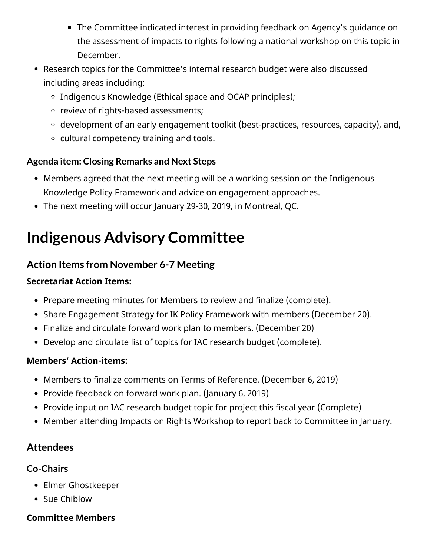- The Committee indicated interest in providing feedback on Agency's guidance on the assessment of impacts to rights following a national workshop on this topic in December.
- Research topics for the Committee's internal research budget were also discussed including areas including:
	- Indigenous Knowledge (Ethical space and OCAP principles);
	- o review of rights-based assessments;
	- $\circ$  development of an early engagement toolkit (best-practices, resources, capacity), and,
	- cultural competency training and tools.

#### **Agenda item: Closing Remarks and Next Steps**

- Members agreed that the next meeting will be a working session on the Indigenous Knowledge Policy Framework and advice on engagement approaches.
- The next meeting will occur January 29-30, 2019, in Montreal, QC.

# **Indigenous Advisory Committee**

### **Action Items from November 6-7 Meeting**

#### **Secretariat Action Items:**

- Prepare meeting minutes for Members to review and finalize (complete).
- Share Engagement Strategy for IK Policy Framework with members (December 20).
- Finalize and circulate forward work plan to members. (December 20)
- Develop and circulate list of topics for IAC research budget (complete).

#### **Members' Action-items:**

- Members to finalize comments on Terms of Reference. (December 6, 2019)
- Provide feedback on forward work plan. (January 6, 2019)
- Provide input on IAC research budget topic for project this fiscal year (Complete)
- Member attending Impacts on Rights Workshop to report back to Committee in January.

# **Attendees**

#### **Co-Chairs**

- Elmer Ghostkeeper
- Sue Chiblow

#### **Committee Members**